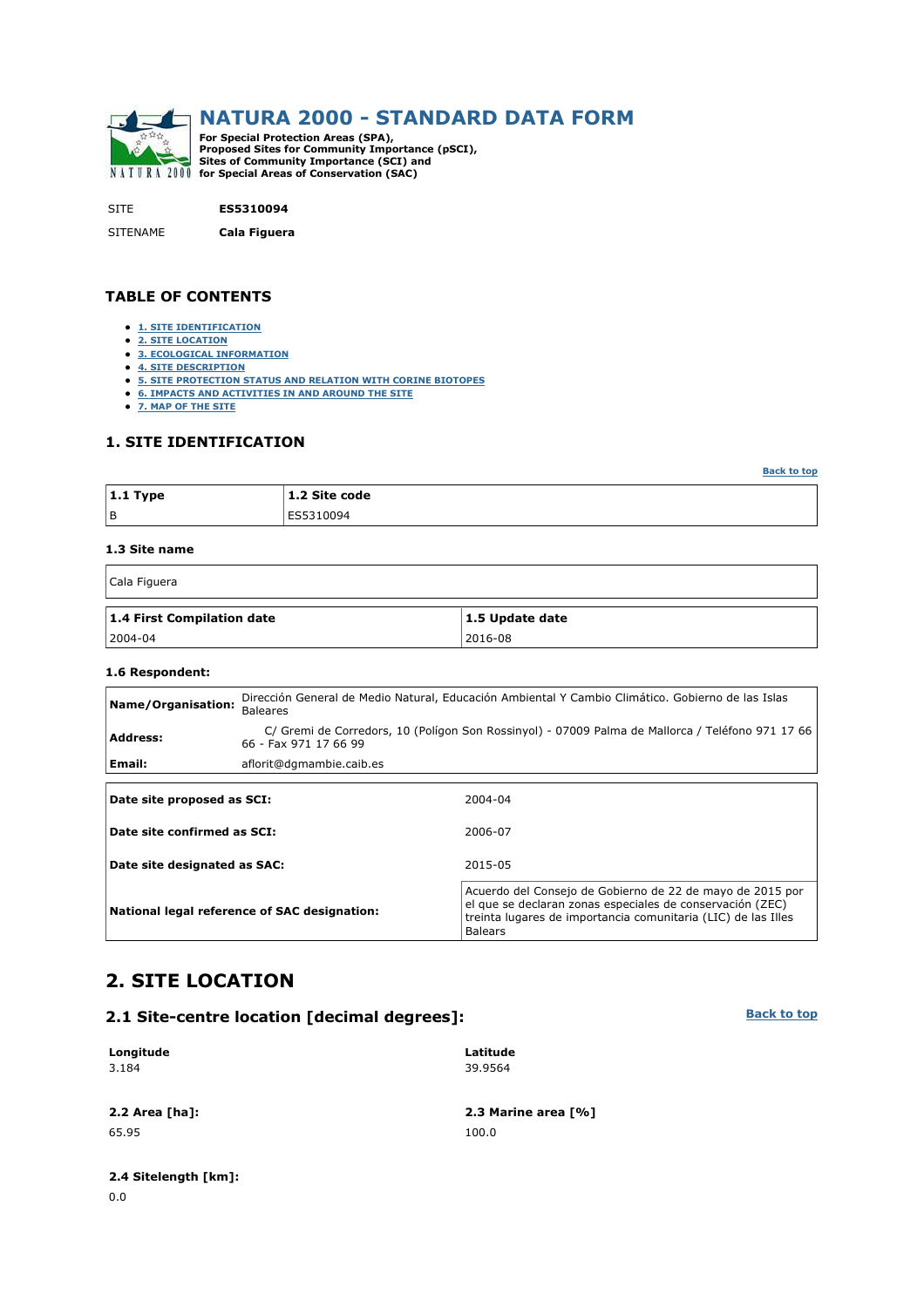

SITE **ES5310094**

SITENAME **Cala Figuera**

### **TABLE OF CONTENTS**

- **1. SITE IDENTIFICATION**
- **2. SITE LOCATION**
- **3. ECOLOGICAL INFORMATION**
- **4. SITE DESCRIPTION**
- **5. SITE PROTECTION STATUS AND RELATION WITH CORINE BIOTOPES**
- **6. IMPACTS AND ACTIVITIES IN AND AROUND THE SITE**
- **7. MAP OF THE SITE**

### **1. SITE IDENTIFICATION**

| $ 1.1$ Type | 1.2 Site code |
|-------------|---------------|
| l B         | ES5310094     |

#### **1.3 Site name**

 $\overline{1}$ 

| Cala Figuera               |                         |  |  |  |  |  |
|----------------------------|-------------------------|--|--|--|--|--|
| 1.4 First Compilation date | $\vert$ 1.5 Update date |  |  |  |  |  |
| $ 2004-04 $                | 2016-08                 |  |  |  |  |  |

### **1.6 Respondent:**

| Name/Organisation:           | <b>Baleares</b>                              | Dirección General de Medio Natural, Educación Ambiental Y Cambio Climático. Gobierno de las Islas                                                                                                         |  |  |  |  |
|------------------------------|----------------------------------------------|-----------------------------------------------------------------------------------------------------------------------------------------------------------------------------------------------------------|--|--|--|--|
| Address:                     | 66 - Fax 971 17 66 99                        | C/ Gremi de Corredors, 10 (Polígon Son Rossinyol) - 07009 Palma de Mallorca / Teléfono 971 17 66                                                                                                          |  |  |  |  |
| Email:                       | aflorit@dgmambie.caib.es                     |                                                                                                                                                                                                           |  |  |  |  |
|                              |                                              |                                                                                                                                                                                                           |  |  |  |  |
| Date site proposed as SCI:   |                                              | 2004-04                                                                                                                                                                                                   |  |  |  |  |
| Date site confirmed as SCI:  |                                              | 2006-07                                                                                                                                                                                                   |  |  |  |  |
| Date site designated as SAC: |                                              | 2015-05                                                                                                                                                                                                   |  |  |  |  |
|                              | National legal reference of SAC designation: | Acuerdo del Consejo de Gobierno de 22 de mayo de 2015 por<br>el que se declaran zonas especiales de conservación (ZEC)<br>treinta lugares de importancia comunitaria (LIC) de las Illes<br><b>Balears</b> |  |  |  |  |

# **2. SITE LOCATION**

## **2.1 Site-centre location [decimal degrees]:**

#### **Longitude** 3.184 **Latitude** 39.9564

65.95 100.0

**2.2 Area [ha]: 2.3 Marine area [%]**

# **2.4 Sitelength [km]:**

**Back to top**

**Back to top**

٦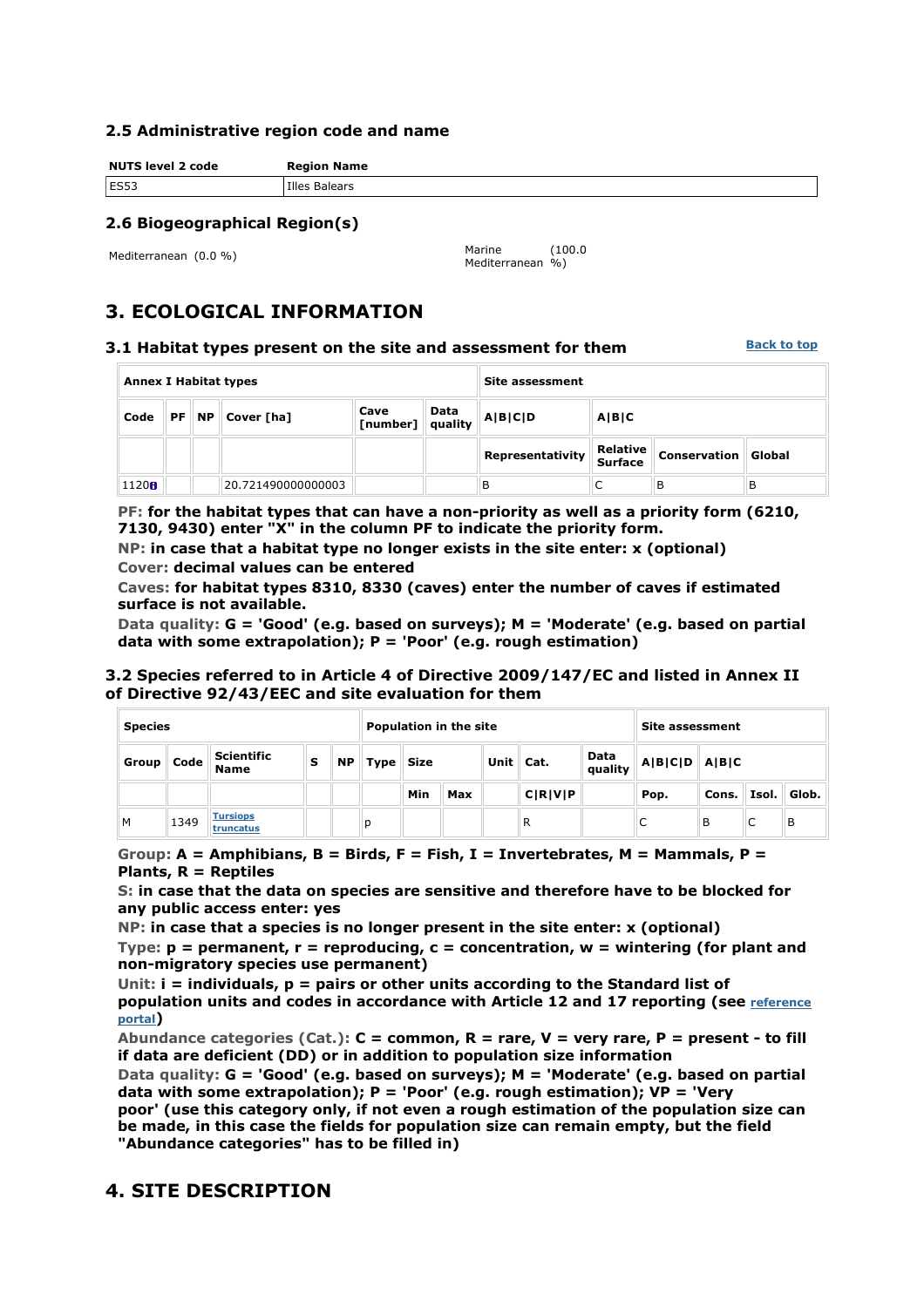### **2.5 Administrative region code and name**

**NUTS level 2 code Region Name ES53** Illes Balears

## **2.6 Biogeographical Region(s)**

Mediterranean (0.0 %) Marine

Mediterranean %) (100.0

# **3. ECOLOGICAL INFORMATION**

### **3.1 Habitat types present on the site and assessment for them**

**Back to top**

| <b>Annex I Habitat types</b>                                                                  |  |  |                    |       | Site assessment |                  |                            |                     |        |
|-----------------------------------------------------------------------------------------------|--|--|--------------------|-------|-----------------|------------------|----------------------------|---------------------|--------|
| Data<br>Cave<br>$PF \parallel NP \parallel Cover \mid \text{A}$<br>Code<br>$[number]$ quality |  |  | A B C D            | A B C |                 |                  |                            |                     |        |
|                                                                                               |  |  |                    |       |                 | Representativity | Relative<br><b>Surface</b> | <b>Conservation</b> | Global |
| 1120B                                                                                         |  |  | 20.721490000000003 |       |                 | в                | ╰                          | в                   | в      |

**PF: for the habitat types that can have a non-priority as well as a priority form (6210, 7130, 9430) enter "X" in the column PF to indicate the priority form.** 

**NP: in case that a habitat type no longer exists in the site enter: x (optional) Cover: decimal values can be entered** 

**Caves: for habitat types 8310, 8330 (caves) enter the number of caves if estimated surface is not available.** 

**Data quality: G = 'Good' (e.g. based on surveys); M = 'Moderate' (e.g. based on partial data with some extrapolation); P = 'Poor' (e.g. rough estimation)** 

### **3.2 Species referred to in Article 4 of Directive 2009/147/EC and listed in Annex II of Directive 92/43/EEC and site evaluation for them**

| <b>Species</b> |                                    |                                  |   | <b>Population in the site</b> |                     |     |     |                   | Site assessment |                    |      |       |       |       |
|----------------|------------------------------------|----------------------------------|---|-------------------------------|---------------------|-----|-----|-------------------|-----------------|--------------------|------|-------|-------|-------|
| Group          | $\blacksquare$ Code $\blacksquare$ | <b>Scientific</b><br><b>Name</b> | s | <b>NP</b>                     | <b>Size</b><br>Type |     |     | Unit $\vert$ Cat. | Data<br>quality | $\ A B C D\ A B C$ |      |       |       |       |
|                |                                    |                                  |   |                               |                     | Min | Max |                   | C R V P         |                    | Pop. | Cons. | Isol. | Glob. |
| M              | 1349                               | <b>Tursiops</b><br>truncatus     |   |                               | р                   |     |     |                   | R               |                    | ◡    | B     |       | в     |

**Group: A = Amphibians, B = Birds, F = Fish, I = Invertebrates, M = Mammals, P = Plants, R = Reptiles** 

**S: in case that the data on species are sensitive and therefore have to be blocked for any public access enter: yes** 

**NP: in case that a species is no longer present in the site enter: x (optional) Type: p = permanent, r = reproducing, c = concentration, w = wintering (for plant and non-migratory species use permanent)** 

**Unit: i = individuals, p = pairs or other units according to the Standard list of population units and codes in accordance with Article 12 and 17 reporting (see reference portal)** 

**Abundance categories (Cat.): C = common, R = rare, V = very rare, P = present - to fill if data are deficient (DD) or in addition to population size information** 

**Data quality: G = 'Good' (e.g. based on surveys); M = 'Moderate' (e.g. based on partial data with some extrapolation); P = 'Poor' (e.g. rough estimation); VP = 'Very poor' (use this category only, if not even a rough estimation of the population size can be made, in this case the fields for population size can remain empty, but the field "Abundance categories" has to be filled in)** 

## **4. SITE DESCRIPTION**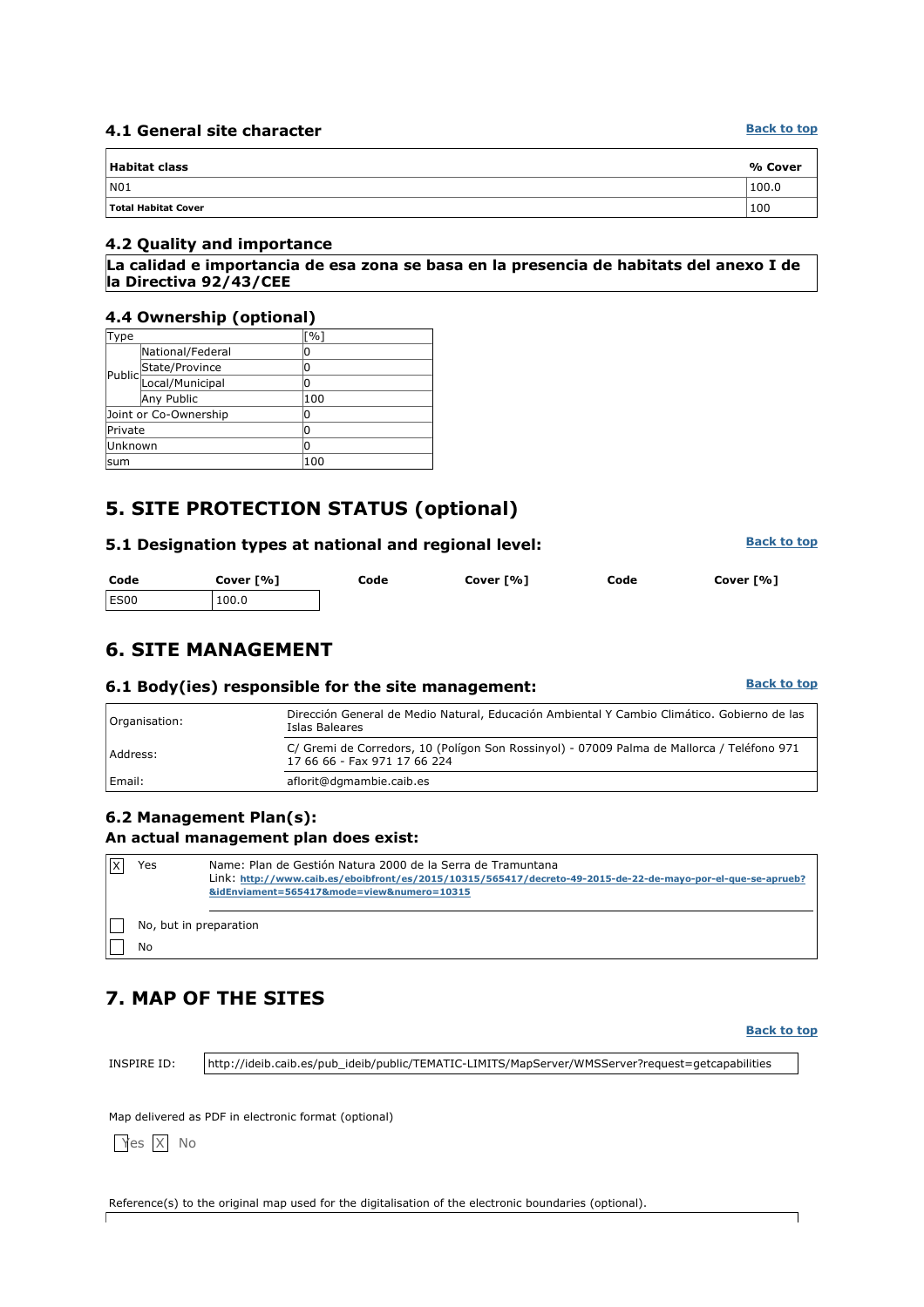### **4.1 General site character**

| <b>Habitat class</b> | % Cover |
|----------------------|---------|
| N01                  | 100.0   |
| Total Habitat Cover  | 100     |

### **4.2 Quality and importance**

**La calidad e importancia de esa zona se basa en la presencia de habitats del anexo I de la Directiva 92/43/CEE**

### **4.4 Ownership (optional)**

| Type                  |                       | $\lceil \% \rceil$ |
|-----------------------|-----------------------|--------------------|
|                       | National/Federal      | 0                  |
|                       |                       | 0                  |
|                       | Public State/Province | 0                  |
|                       | Any Public            | 100                |
| Joint or Co-Ownership |                       | 0                  |
| Private               |                       | 0                  |
| Unknown               |                       | 0                  |
| lsum                  |                       | 100                |

# **5. SITE PROTECTION STATUS (optional)**

### **5.1 Designation types at national and regional level:**

| Code | Cover [%] | Code | Cover [%] | Code | Cover [%] |
|------|-----------|------|-----------|------|-----------|
| ES00 | 100.0     |      |           |      |           |

## **6. SITE MANAGEMENT**

### **6.1 Body(ies) responsible for the site management:**

| Organisation: | Dirección General de Medio Natural, Educación Ambiental Y Cambio Climático. Gobierno de las<br>Islas Baleares              |
|---------------|----------------------------------------------------------------------------------------------------------------------------|
| Address:      | C/ Gremi de Corredors, 10 (Polígon Son Rossinyol) - 07009 Palma de Mallorca / Teléfono 971<br>17 66 66 - Fax 971 17 66 224 |
| Email:        | aflorit@dgmambie.caib.es                                                                                                   |

## **6.2 Management Plan(s): An actual management plan does exist:**

| Yes                    | Name: Plan de Gestión Natura 2000 de la Serra de Tramuntana                                                  |  |  |  |  |  |  |  |
|------------------------|--------------------------------------------------------------------------------------------------------------|--|--|--|--|--|--|--|
|                        | Link: http://www.caib.es/eboibfront/es/2015/10315/565417/decreto-49-2015-de-22-de-mayo-por-el-que-se-aprueb? |  |  |  |  |  |  |  |
|                        | &idEnviament=565417&mode=view№=10315                                                                         |  |  |  |  |  |  |  |
|                        |                                                                                                              |  |  |  |  |  |  |  |
| No, but in preparation |                                                                                                              |  |  |  |  |  |  |  |
| No                     |                                                                                                              |  |  |  |  |  |  |  |

# **7. MAP OF THE SITES**

#### **Back to top**

INSPIRE ID: http://ideib.caib.es/pub\_ideib/public/TEMATIC-LIMITS/MapServer/WMSServer?request=getcapabilities

Map delivered as PDF in electronic format (optional)

Yes X No

 $\Gamma$ 

Reference(s) to the original map used for the digitalisation of the electronic boundaries (optional).

**Back to top**

**Back to top**

**Back to top**